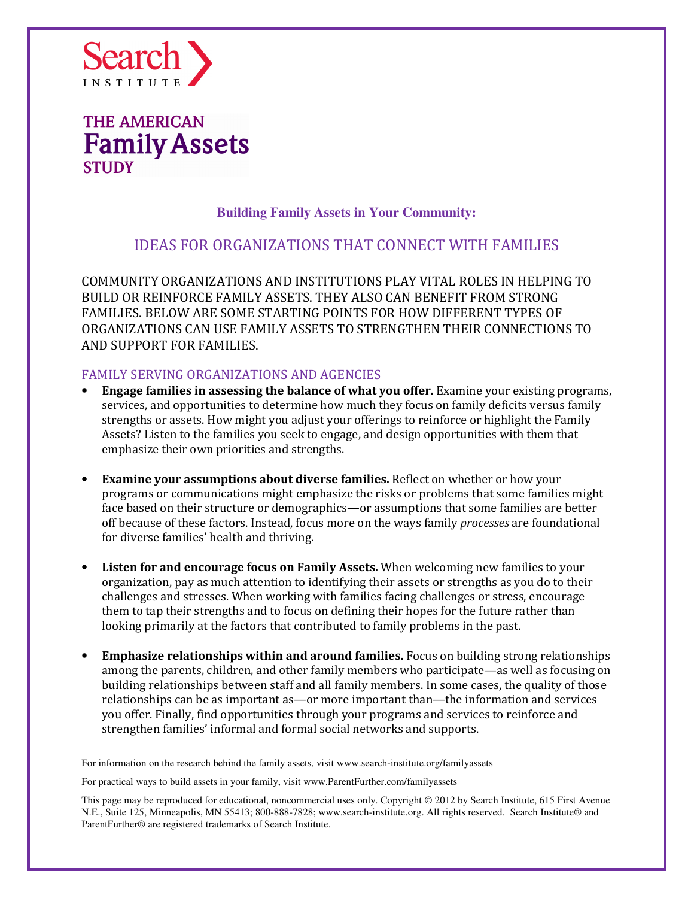

### **Building Family Assets in Your Community:**

### IDEAS FOR ORGANIZATIONS THAT CONNECT WITH FAMILIES

COMMUNITY ORGANIZATIONS AND INSTITUTIONS PLAY VITAL ROLES IN HELPING TO BUILD OR REINFORCE FAMILY ASSETS. THEY ALSO CAN BENEFIT FROM STRONG FAMILIES. BELOW ARE SOME STARTING POINTS FOR HOW DIFFERENT TYPES OF ORGANIZATIONS CAN USE FAMILY ASSETS TO STRENGTHEN THEIR CONNECTIONS TO AND SUPPORT FOR FAMILIES.

### FAMILY SERVING ORGANIZATIONS AND AGENCIES

- Engage families in assessing the balance of what you offer. Examine your existing programs, services, and opportunities to determine how much they focus on family deficits versus family strengths or assets. How might you adjust your offerings to reinforce or highlight the Family Assets? Listen to the families you seek to engage, and design opportunities with them that emphasize their own priorities and strengths.
- **Examine your assumptions about diverse families.** Reflect on whether or how your programs or communications might emphasize the risks or problems that some families might face based on their structure or demographics—or assumptions that some families are better off because of these factors. Instead, focus more on the ways family *processes* are foundational for diverse families' health and thriving.
- Listen for and encourage focus on Family Assets. When welcoming new families to your organization, pay as much attention to identifying their assets or strengths as you do to their challenges and stresses. When working with families facing challenges or stress, encourage them to tap their strengths and to focus on defining their hopes for the future rather than looking primarily at the factors that contributed to family problems in the past.
- Emphasize relationships within and around families. Focus on building strong relationships among the parents, children, and other family members who participate—as well as focusing on building relationships between staff and all family members. In some cases, the quality of those relationships can be as important as—or more important than—the information and services you offer. Finally, find opportunities through your programs and services to reinforce and strengthen families' informal and formal social networks and supports.

For information on the research behind the family assets, visit www.search-institute.org/familyassets

For practical ways to build assets in your family, visit www.ParentFurther.com/familyassets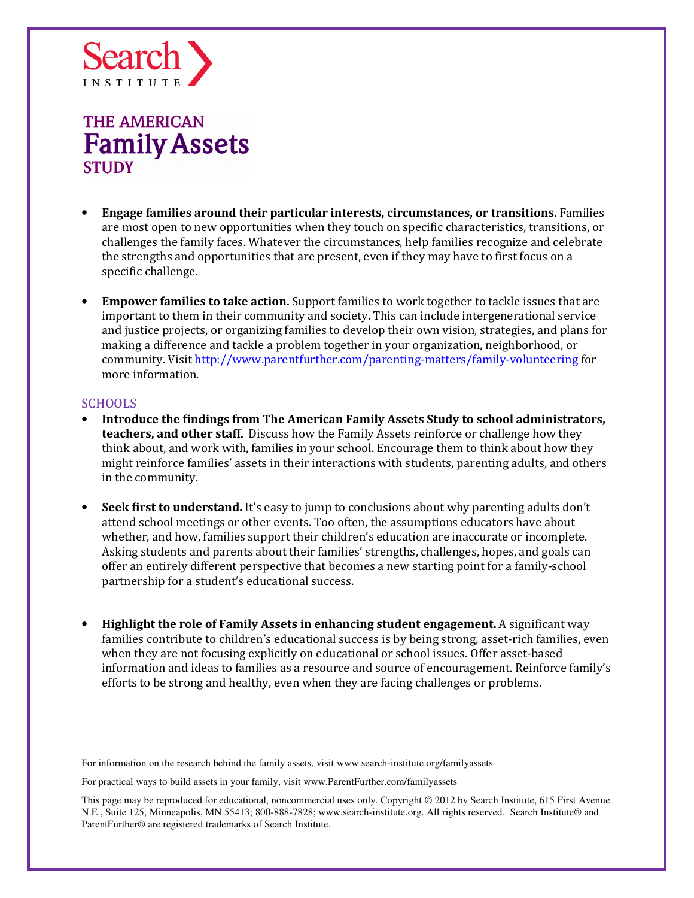

- Engage families around their particular interests, circumstances, or transitions. Families are most open to new opportunities when they touch on specific characteristics, transitions, or challenges the family faces. Whatever the circumstances, help families recognize and celebrate the strengths and opportunities that are present, even if they may have to first focus on a specific challenge.
- Empower families to take action. Support families to work together to tackle issues that are important to them in their community and society. This can include intergenerational service and justice projects, or organizing families to develop their own vision, strategies, and plans for making a difference and tackle a problem together in your organization, neighborhood, or community. Visit http://www.parentfurther.com/parenting-matters/family-volunteering for more information.

#### SCHOOLS

- Introduce the findings from The American Family Assets Study to school administrators, teachers, and other staff. Discuss how the Family Assets reinforce or challenge how they think about, and work with, families in your school. Encourage them to think about how they might reinforce families' assets in their interactions with students, parenting adults, and others in the community.
- **Seek first to understand.** It's easy to jump to conclusions about why parenting adults don't attend school meetings or other events. Too often, the assumptions educators have about whether, and how, families support their children's education are inaccurate or incomplete. Asking students and parents about their families' strengths, challenges, hopes, and goals can offer an entirely different perspective that becomes a new starting point for a family-school partnership for a student's educational success.
- Highlight the role of Family Assets in enhancing student engagement. A significant way families contribute to children's educational success is by being strong, asset-rich families, even when they are not focusing explicitly on educational or school issues. Offer asset-based information and ideas to families as a resource and source of encouragement. Reinforce family's efforts to be strong and healthy, even when they are facing challenges or problems.

For information on the research behind the family assets, visit www.search-institute.org/familyassets

For practical ways to build assets in your family, visit www.ParentFurther.com/familyassets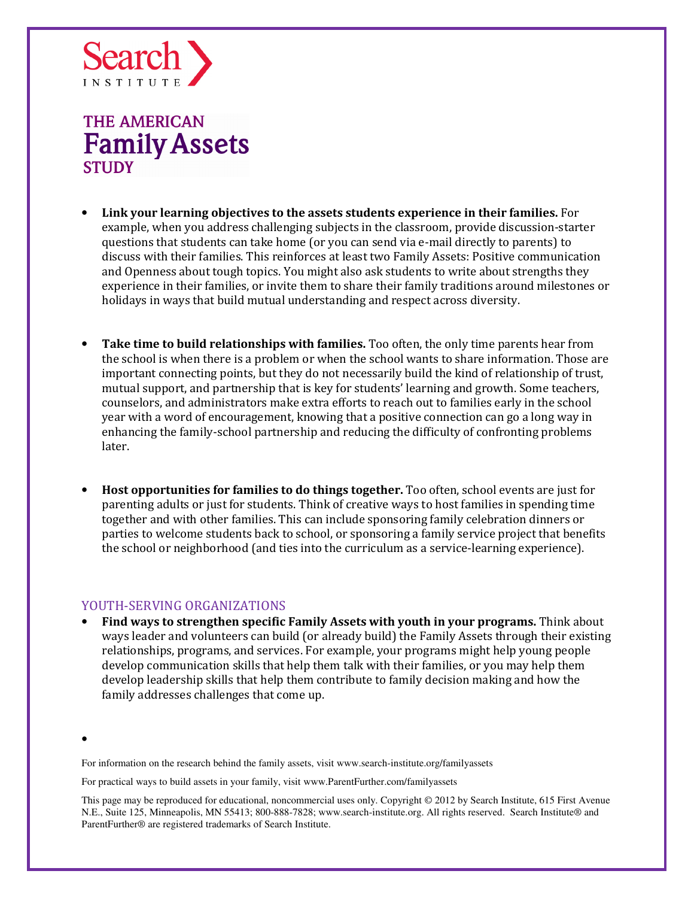

- Link your learning objectives to the assets students experience in their families. For example, when you address challenging subjects in the classroom, provide discussion-starter questions that students can take home (or you can send via e-mail directly to parents) to discuss with their families. This reinforces at least two Family Assets: Positive communication and Openness about tough topics. You might also ask students to write about strengths they experience in their families, or invite them to share their family traditions around milestones or holidays in ways that build mutual understanding and respect across diversity.
- Take time to build relationships with families. Too often, the only time parents hear from the school is when there is a problem or when the school wants to share information. Those are important connecting points, but they do not necessarily build the kind of relationship of trust, mutual support, and partnership that is key for students' learning and growth. Some teachers, counselors, and administrators make extra efforts to reach out to families early in the school year with a word of encouragement, knowing that a positive connection can go a long way in enhancing the family-school partnership and reducing the difficulty of confronting problems later.
- Host opportunities for families to do things together. Too often, school events are just for parenting adults or just for students. Think of creative ways to host families in spending time together and with other families. This can include sponsoring family celebration dinners or parties to welcome students back to school, or sponsoring a family service project that benefits the school or neighborhood (and ties into the curriculum as a service-learning experience).

#### YOUTH-SERVING ORGANIZATIONS

• Find ways to strengthen specific Family Assets with youth in your programs. Think about ways leader and volunteers can build (or already build) the Family Assets through their existing relationships, programs, and services. For example, your programs might help young people develop communication skills that help them talk with their families, or you may help them develop leadership skills that help them contribute to family decision making and how the family addresses challenges that come up.

•

For information on the research behind the family assets, visit www.search-institute.org/familyassets

For practical ways to build assets in your family, visit www.ParentFurther.com/familyassets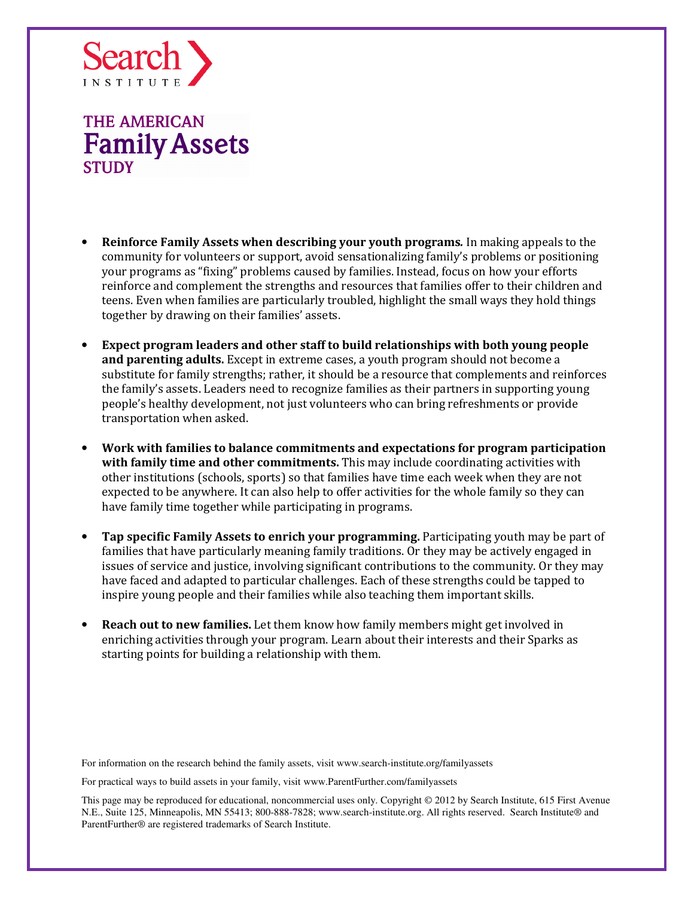

- Reinforce Family Assets when describing your youth programs. In making appeals to the community for volunteers or support, avoid sensationalizing family's problems or positioning your programs as "fixing" problems caused by families. Instead, focus on how your efforts reinforce and complement the strengths and resources that families offer to their children and teens. Even when families are particularly troubled, highlight the small ways they hold things together by drawing on their families' assets.
- Expect program leaders and other staff to build relationships with both young people and parenting adults. Except in extreme cases, a youth program should not become a substitute for family strengths; rather, it should be a resource that complements and reinforces the family's assets. Leaders need to recognize families as their partners in supporting young people's healthy development, not just volunteers who can bring refreshments or provide transportation when asked.
- Work with families to balance commitments and expectations for program participation with family time and other commitments. This may include coordinating activities with other institutions (schools, sports) so that families have time each week when they are not expected to be anywhere. It can also help to offer activities for the whole family so they can have family time together while participating in programs.
- Tap specific Family Assets to enrich your programming. Participating youth may be part of families that have particularly meaning family traditions. Or they may be actively engaged in issues of service and justice, involving significant contributions to the community. Or they may have faced and adapted to particular challenges. Each of these strengths could be tapped to inspire young people and their families while also teaching them important skills.
- Reach out to new families. Let them know how family members might get involved in enriching activities through your program. Learn about their interests and their Sparks as starting points for building a relationship with them.

For information on the research behind the family assets, visit www.search-institute.org/familyassets

For practical ways to build assets in your family, visit www.ParentFurther.com/familyassets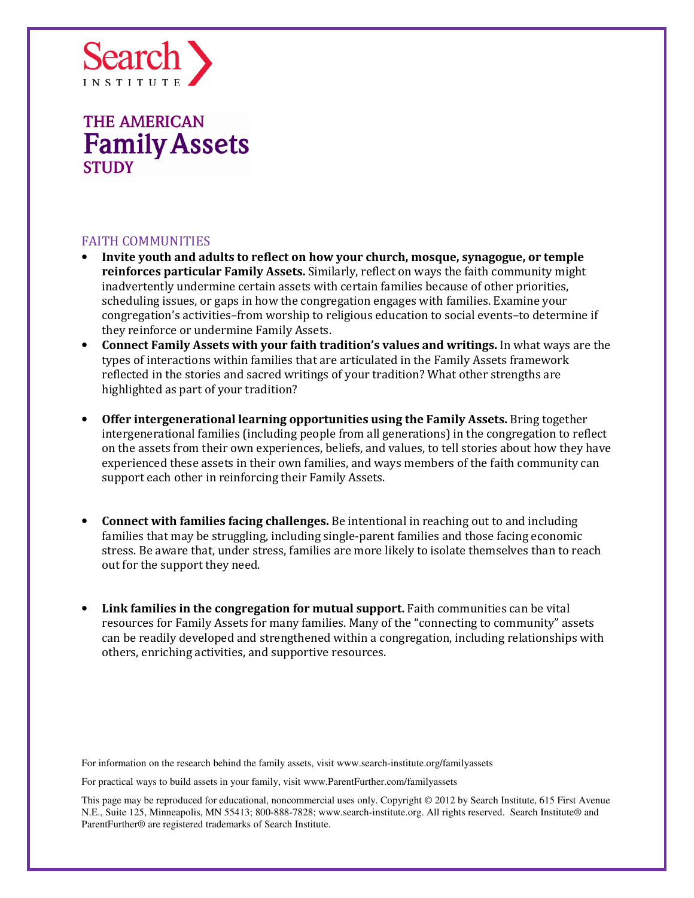

### FAITH COMMUNITIES

- Invite youth and adults to reflect on how your church, mosque, synagogue, or temple reinforces particular Family Assets. Similarly, reflect on ways the faith community might inadvertently undermine certain assets with certain families because of other priorities, scheduling issues, or gaps in how the congregation engages with families. Examine your congregation's activities–from worship to religious education to social events–to determine if they reinforce or undermine Family Assets.
- Connect Family Assets with your faith tradition's values and writings. In what ways are the types of interactions within families that are articulated in the Family Assets framework reflected in the stories and sacred writings of your tradition? What other strengths are highlighted as part of your tradition?
- Offer intergenerational learning opportunities using the Family Assets. Bring together intergenerational families (including people from all generations) in the congregation to reflect on the assets from their own experiences, beliefs, and values, to tell stories about how they have experienced these assets in their own families, and ways members of the faith community can support each other in reinforcing their Family Assets.
- Connect with families facing challenges. Be intentional in reaching out to and including families that may be struggling, including single-parent families and those facing economic stress. Be aware that, under stress, families are more likely to isolate themselves than to reach out for the support they need.
- Link families in the congregation for mutual support. Faith communities can be vital resources for Family Assets for many families. Many of the "connecting to community" assets can be readily developed and strengthened within a congregation, including relationships with others, enriching activities, and supportive resources.

For information on the research behind the family assets, visit www.search-institute.org/familyassets

For practical ways to build assets in your family, visit www.ParentFurther.com/familyassets